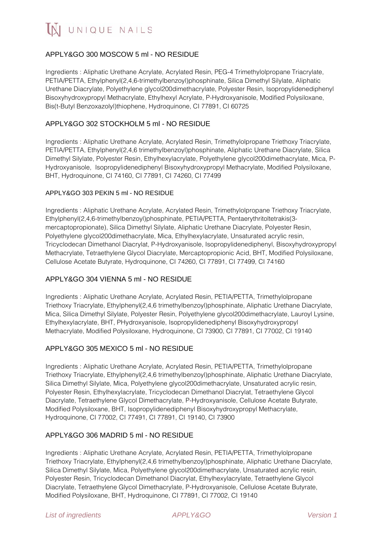# APPLY&GO 300 MOSCOW 5 ml - NO RESIDUE

Ingredients : Aliphatic Urethane Acrylate, Acrylated Resin, PEG-4 Trimethylolpropane Triacrylate, PETIA/PETTA, Ethylphenyl(2,4,6-trimethylbenzoyl)phosphinate, Silica Dimethyl Silylate, Aliphatic Urethane Diacrylate, Polyethylene glycol200dimethacrylate, Polyester Resin, Isopropylidenediphenyl Bisoxyhydroxypropyl Methacrylate, Ethylhexyl Acrylate, P-Hydroxyanisole, Modified Polysiloxane, Bis(t-Butyl Benzoxazolyl)thiophene, Hydroquinone, CI 77891, CI 60725

## APPLY&GO 302 STOCKHOLM 5 ml - NO RESIDUE

Ingredients : Aliphatic Urethane Acrylate, Acrylated Resin, Trimethylolpropane Triethoxy Triacrylate, PETIA/PETTA, Ethylphenyl(2,4,6 trimethylbenzoyl)phosphinate, Aliphatic Urethane Diacrylate, Silica Dimethyl Silylate, Polyester Resin, Ethylhexylacrylate, Polyethylene glycol200dimethacrylate, Mica, P-Hydroxyanisole, Isopropylidenediphenyl Bisoxyhydroxypropyl Methacrylate, Modified Polysiloxane, BHT, Hydroquinone, CI 74160, CI 77891, CI 74260, CI 77499

#### APPLY&GO 303 PEKIN 5 ml - NO RESIDUE

Ingredients : Aliphatic Urethane Acrylate, Acrylated Resin, Trimethylolpropane Triethoxy Triacrylate, Ethylphenyl(2,4,6-trimethylbenzoyl)phosphinate, PETIA/PETTA, Pentaerythritoltetrakis(3 mercaptopropionate), Silica Dimethyl Silylate, Aliphatic Urethane Diacrylate, Polyester Resin, Polyethylene glycol200dimethacrylate, Mica, Ethylhexylacrylate, Unsaturated acrylic resin, Tricyclodecan Dimethanol Diacrylat, P-Hydroxyanisole, Isopropylidenediphenyl, Bisoxyhydroxypropyl Methacrylate, Tetraethylene Glycol Diacrylate, Mercaptopropionic Acid, BHT, Modified Polysiloxane, Cellulose Acetate Butyrate, Hydroquinone, CI 74260, CI 77891, CI 77499, CI 74160

### APPLY&GO 304 VIENNA 5 ml - NO RESIDUE

Ingredients : Aliphatic Urethane Acrylate, Acrylated Resin, PETIA/PETTA, Trimethylolpropane Triethoxy Triacrylate, Ethylphenyl(2,4,6 trimethylbenzoyl)phosphinate, Aliphatic Urethane Diacrylate, Mica, Silica Dimethyl Silylate, Polyester Resin, Polyethylene glycol200dimethacrylate, Lauroyl Lysine, Ethylhexylacrylate, BHT, PHydroxyanisole, Isopropylidenediphenyl Bisoxyhydroxypropyl Methacrylate, Modified Polysiloxane, Hydroquinone, CI 73900, CI 77891, CI 77002, CI 19140

## APPLY&GO 305 MEXICO 5 ml - NO RESIDUE

Ingredients : Aliphatic Urethane Acrylate, Acrylated Resin, PETIA/PETTA, Trimethylolpropane Triethoxy Triacrylate, Ethylphenyl(2,4,6 trimethylbenzoyl)phosphinate, Aliphatic Urethane Diacrylate, Silica Dimethyl Silylate, Mica, Polyethylene glycol200dimethacrylate, Unsaturated acrylic resin, Polyester Resin, Ethylhexylacrylate, Tricyclodecan Dimethanol Diacrylat, Tetraethylene Glycol Diacrylate, Tetraethylene Glycol Dimethacrylate, P-Hydroxyanisole, Cellulose Acetate Butyrate, Modified Polysiloxane, BHT, Isopropylidenediphenyl Bisoxyhydroxypropyl Methacrylate, Hydroquinone, CI 77002, CI 77491, CI 77891, CI 19140, CI 73900

### APPLY&GO 306 MADRID 5 ml - NO RESIDUE

Ingredients : Aliphatic Urethane Acrylate, Acrylated Resin, PETIA/PETTA, Trimethylolpropane Triethoxy Triacrylate, Ethylphenyl(2,4,6 trimethylbenzoyl)phosphinate, Aliphatic Urethane Diacrylate, Silica Dimethyl Silylate, Mica, Polyethylene glycol200dimethacrylate, Unsaturated acrylic resin, Polyester Resin, Tricyclodecan Dimethanol Diacrylat, Ethylhexylacrylate, Tetraethylene Glycol Diacrylate, Tetraethylene Glycol Dimethacrylate, P-Hydroxyanisole, Cellulose Acetate Butyrate, Modified Polysiloxane, BHT, Hydroquinone, CI 77891, CI 77002, CI 19140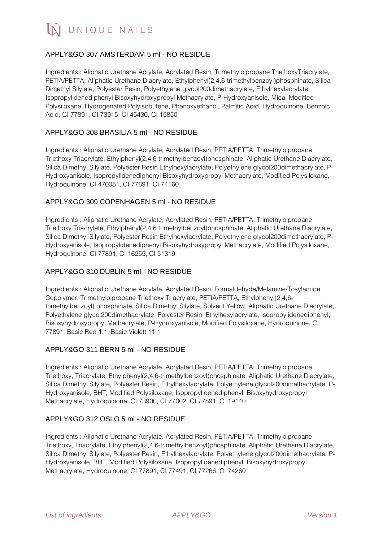IN UNIQUE NAILS

## APPLY&GO 307 AMSTERDAM 5 ml - NO RESIDUE

Ingredients : Aliphatic Urethane Acrylate, Acrylated Resin, Trimethylolpropane TriethoxyTriacrylate, PETIA/PETTA, Aliphatic Urethane Diacrylate, Ethylphenyl(2,4,6-trimethylbenzoyl)phosphinate, Silica Dimethyl Silylate, Polyester Resin, Polyethylene glycol200dimethacrylate, Ethylhexylacrylate, Isopropylidenediphenyl Bisoxyhydroxypropyl Methacrylate, P-Hydroxyanisole, Mica, Modified Polysiloxane, Hydrogenated Polyisobutene, Phenoxyethanol, Palmitic Acid, Hydroquinone, Benzoic Acid, CI 77891, CI 73915, CI 45430, CI 15850

## APPLY&GO 308 BRASILIA 5 ml - NO RESIDUE

Ingredients : Aliphatic Urethane Acrylate, Acrylated Resin, PETIA/PETTA, Trimethylolpropane Triethoxy Triacrylate, Ethylphenyl(2,4,6 trimethylbenzoyl)phosphinate, Aliphatic Urethane Diacrylate, Silica Dimethyl Silylate, Polyester Resin Ethylhexylacrylate, Polyethylene glycol200dimethacrylate, P-Hydroxyanisole, Isopropylidenediphenyl Bisoxyhydroxypropyl Methacrylate, Modified Polysiloxane, Hydroquinone, CI 470051, CI 77891, CI 74160

### APPLY&GO 309 COPENHAGEN 5 ml - NO RESIDUE

Ingredients : Aliphatic Urethane Acrylate, Acrylated Resin, PETIA/PETTA, Trimethylolpropane Triethoxy Triacrylate, Ethylphenyl(2,4,6 trimethylbenzoyl)phosphinate, Aliphatic Urethane Diacrylate, Silica Dimethyl Silylate, Polyester Resin Ethylhexylacrylate, Polyethylene glycol200dimethacrylate, P-Hydroxyanisole, Isopropylidenediphenyl Bisoxyhydroxypropyl Methacrylate, Modified Polysiloxane, Hydroquinone, CI 77891, CI 16255, CI 51319

#### APPLY&GO 310 DUBLIN 5 ml - NO RESIDUE

Ingredients : Aliphatic Urethane Acrylate, Acrylated Resin, Formaldehyde/Melamine/Tosylamide Copolymer, Trimethylolpropane Triethoxy Triacrylate, PETIA/PETTA, Ethylphenyl(2,4,6 trimethylbenzoyl) phosphinate, Silica Dimethyl Silylate, Solvent Yellow, Aliphatic Urethane Diacrylate, Polyethylene glycol200dimethacrylate, Polyester Resin, Ethylhexylacrylate, Isopropylidenediphenyl, Bisoxyhydroxypropyl Methacrylate, P-Hydroxyanisole, Modified Polysiloxane, Hydroquinone, CI 77891, Basic Red 1:1, Basic Violett 11:1

### APPLY&GO 311 BERN 5 ml - NO RESIDUE

Ingredients : Aliphatic Urethane Acrylate, Acrylated Resin, PETIA/PETTA, Trimethylolpropane Triethoxy, Triacrylate, Ethylphenyl(2,4,6-trimethylbenzoyl)phosphinate, Aliphatic Urethane Diacrylate, Silica Dimethyl Silylate, Polyester Resin, Ethylhexylacrylate, Polyethylene glycol200dimethacrylate, P-Hydroxyanisole, BHT, Modified Polysiloxane, Isopropylidenediphenyl, Bisoxyhydroxypropyl Methacrylate, Hydroquinone, CI 73900, CI 77002, CI 77891, CI 19140

### APPLY&GO 312 OSLO 5 ml - NO RESIDUE

Ingredients : Aliphatic Urethane Acrylate, Acrylated Resin, PETIA/PETTA, Trimethylolpropane Triethoxy, Triacrylate, Ethylphenyl(2,4,6-trimethylbenzoyl)phosphinate, Aliphatic Urethane Diacrylate, Silica Dimethyl Silylate, Polyester Resin, Ethylhexylacrylate, Polyethylene glycol200dimethacrylate, P-Hydroxyanisole, BHT, Modified Polysiloxane, Isopropylidenediphenyl, Bisoxyhydroxypropyl Methacrylate, Hydroquinone, CI 77891, CI 77491, CI 77266, CI 74260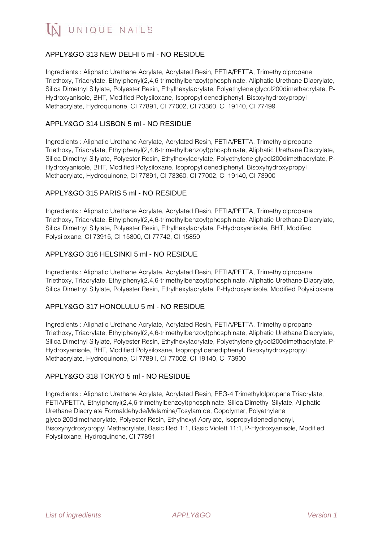IN UNIQUE NAILS

## APPLY&GO 313 NEW DELHI 5 ml - NO RESIDUE

Ingredients : Aliphatic Urethane Acrylate, Acrylated Resin, PETIA/PETTA, Trimethylolpropane Triethoxy, Triacrylate, Ethylphenyl(2,4,6-trimethylbenzoyl)phosphinate, Aliphatic Urethane Diacrylate, Silica Dimethyl Silylate, Polyester Resin, Ethylhexylacrylate, Polyethylene glycol200dimethacrylate, P-Hydroxyanisole, BHT, Modified Polysiloxane, Isopropylidenediphenyl, Bisoxyhydroxypropyl Methacrylate, Hydroquinone, CI 77891, CI 77002, CI 73360, CI 19140, CI 77499

#### APPLY&GO 314 LISBON 5 ml - NO RESIDUE

Ingredients : Aliphatic Urethane Acrylate, Acrylated Resin, PETIA/PETTA, Trimethylolpropane Triethoxy, Triacrylate, Ethylphenyl(2,4,6-trimethylbenzoyl)phosphinate, Aliphatic Urethane Diacrylate, Silica Dimethyl Silylate, Polyester Resin, Ethylhexylacrylate, Polyethylene glycol200dimethacrylate, P-Hydroxyanisole, BHT, Modified Polysiloxane, Isopropylidenediphenyl, Bisoxyhydroxypropyl Methacrylate, Hydroquinone, CI 77891, CI 73360, CI 77002, CI 19140, CI 73900

### APPLY&GO 315 PARIS 5 ml - NO RESIDUE

Ingredients : Aliphatic Urethane Acrylate, Acrylated Resin, PETIA/PETTA, Trimethylolpropane Triethoxy, Triacrylate, Ethylphenyl(2,4,6-trimethylbenzoyl)phosphinate, Aliphatic Urethane Diacrylate, Silica Dimethyl Silylate, Polyester Resin, Ethylhexylacrylate, P-Hydroxyanisole, BHT, Modified Polysiloxane, CI 73915, CI 15800, CI 77742, CI 15850

#### APPLY&GO 316 HELSINKI 5 ml - NO RESIDUE

Ingredients : Aliphatic Urethane Acrylate, Acrylated Resin, PETIA/PETTA, Trimethylolpropane Triethoxy, Triacrylate, Ethylphenyl(2,4,6-trimethylbenzoyl)phosphinate, Aliphatic Urethane Diacrylate, Silica Dimethyl Silylate, Polyester Resin, Ethylhexylacrylate, P-Hydroxyanisole, Modified Polysiloxane

#### APPLY&GO 317 HONOLULU 5 ml - NO RESIDUE

Ingredients : Aliphatic Urethane Acrylate, Acrylated Resin, PETIA/PETTA, Trimethylolpropane Triethoxy, Triacrylate, Ethylphenyl(2,4,6-trimethylbenzoyl)phosphinate, Aliphatic Urethane Diacrylate, Silica Dimethyl Silylate, Polyester Resin, Ethylhexylacrylate, Polyethylene glycol200dimethacrylate, P-Hydroxyanisole, BHT, Modified Polysiloxane, Isopropylidenediphenyl, Bisoxyhydroxypropyl Methacrylate, Hydroquinone, CI 77891, CI 77002, CI 19140, CI 73900

#### APPLY&GO 318 TOKYO 5 ml - NO RESIDUE

Ingredients : Aliphatic Urethane Acrylate, Acrylated Resin, PEG-4 Trimethylolpropane Triacrylate, PETIA/PETTA, Ethylphenyl(2,4,6-trimethylbenzoyl)phosphinate, Silica Dimethyl Silylate, Aliphatic Urethane Diacrylate Formaldehyde/Melamine/Tosylamide, Copolymer, Polyethylene glycol200dimethacrylate, Polyester Resin, Ethylhexyl Acrylate, Isopropylidenediphenyl, Bisoxyhydroxypropyl Methacrylate, Basic Red 1:1, Basic Violett 11:1, P-Hydroxyanisole, Modified Polysiloxane, Hydroquinone, CI 77891